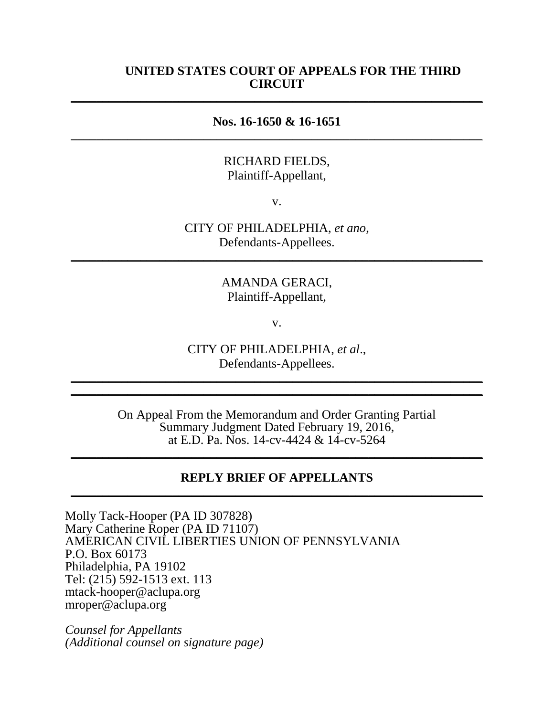### **UNITED STATES COURT OF APPEALS FOR THE THIRD CIRCUIT**  $\overline{a}$  , and the contribution of the contribution of the contribution of the contribution of the contribution of the contribution of the contribution of the contribution of the contribution of the contribution of the co

### **Nos. 16-1650 & 16-1651**  $\overline{a}$  , and the contribution of the contribution of the contribution of the contribution of the contribution of the contribution of the contribution of the contribution of the contribution of the contribution of the co

### RICHARD FIELDS, Plaintiff-Appellant,

v.

CITY OF PHILADELPHIA, *et ano*, Defendants-Appellees. \_\_\_\_\_\_\_\_\_\_\_\_\_\_\_\_\_\_\_\_\_\_\_\_\_\_\_\_\_\_\_\_\_\_\_\_\_\_\_\_\_\_\_\_\_\_\_\_\_\_\_\_\_\_\_\_\_\_\_\_\_\_\_\_\_

> AMANDA GERACI, Plaintiff-Appellant,

> > v.

CITY OF PHILADELPHIA, *et al*., Defendants-Appellees.

\_\_\_\_\_\_\_\_\_\_\_\_\_\_\_\_\_\_\_\_\_\_\_\_\_\_\_\_\_\_\_\_\_\_\_\_\_\_\_\_\_\_\_\_\_\_\_\_\_\_\_\_\_\_\_\_\_\_\_\_\_\_\_\_\_  $\overline{\phantom{a}}$  , and the contribution of the contribution of the contribution of the contribution of the contribution of the contribution of the contribution of the contribution of the contribution of the contribution of the

> On Appeal From the Memorandum and Order Granting Partial Summary Judgment Dated February 19, 2016, at E.D. Pa. Nos. 14-cv-4424 & 14-cv-5264

\_\_\_\_\_\_\_\_\_\_\_\_\_\_\_\_\_\_\_\_\_\_\_\_\_\_\_\_\_\_\_\_\_\_\_\_\_\_\_\_\_\_\_\_\_\_\_\_\_\_\_\_\_\_\_\_\_\_\_\_\_\_\_\_\_

#### **REPLY BRIEF OF APPELLANTS** \_\_\_\_\_\_\_\_\_\_\_\_\_\_\_\_\_\_\_\_\_\_\_\_\_\_\_\_\_\_\_\_\_\_\_\_\_\_\_\_\_\_\_\_\_\_\_\_\_\_\_\_\_\_\_\_\_\_\_\_\_\_\_\_\_

Molly Tack-Hooper (PA ID 307828) Mary Catherine Roper (PA ID 71107) AMERICAN CIVIL LIBERTIES UNION OF PENNSYLVANIA P.O. Box 60173 Philadelphia, PA 19102 Tel: (215) 592-1513 ext. 113 mtack-hooper@aclupa.org mroper@aclupa.org

*Counsel for Appellants (Additional counsel on signature page)*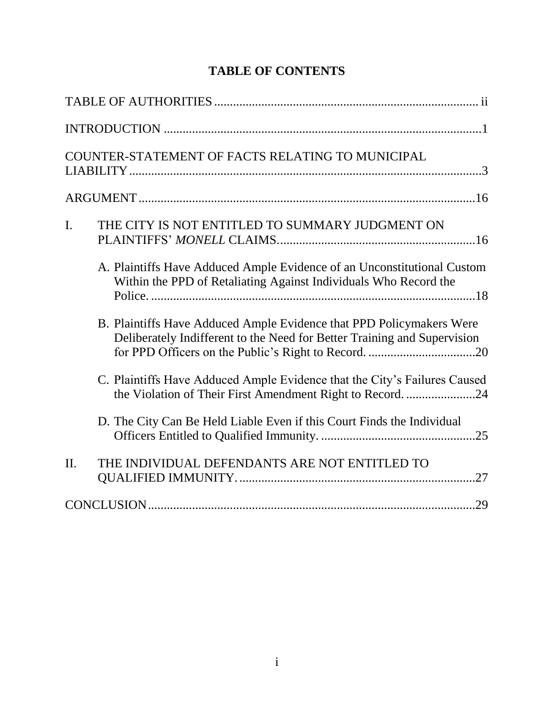| COUNTER-STATEMENT OF FACTS RELATING TO MUNICIPAL                                                                                                 |  |
|--------------------------------------------------------------------------------------------------------------------------------------------------|--|
|                                                                                                                                                  |  |
| THE CITY IS NOT ENTITLED TO SUMMARY JUDGMENT ON<br>$\mathbf{I}$ .                                                                                |  |
| A. Plaintiffs Have Adduced Ample Evidence of an Unconstitutional Custom<br>Within the PPD of Retaliating Against Individuals Who Record the      |  |
| B. Plaintiffs Have Adduced Ample Evidence that PPD Policymakers Were<br>Deliberately Indifferent to the Need for Better Training and Supervision |  |
| C. Plaintiffs Have Adduced Ample Evidence that the City's Failures Caused<br>the Violation of Their First Amendment Right to Record. 24          |  |
| D. The City Can Be Held Liable Even if this Court Finds the Individual                                                                           |  |
| THE INDIVIDUAL DEFENDANTS ARE NOT ENTITLED TO<br>II.                                                                                             |  |
|                                                                                                                                                  |  |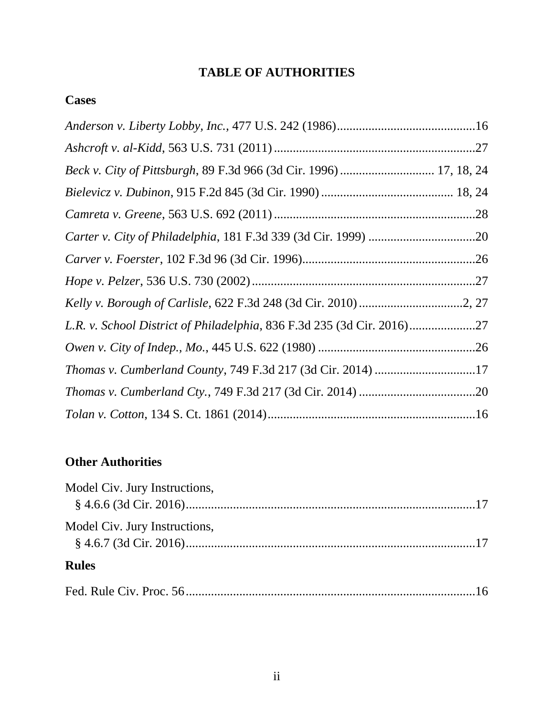# **TABLE OF AUTHORITIES**

# **Cases**

| Beck v. City of Pittsburgh, 89 F.3d 966 (3d Cir. 1996)  17, 18, 24     |  |
|------------------------------------------------------------------------|--|
|                                                                        |  |
|                                                                        |  |
|                                                                        |  |
|                                                                        |  |
|                                                                        |  |
|                                                                        |  |
| L.R. v. School District of Philadelphia, 836 F.3d 235 (3d Cir. 2016)27 |  |
|                                                                        |  |
| Thomas v. Cumberland County, 749 F.3d 217 (3d Cir. 2014) 17            |  |
|                                                                        |  |
|                                                                        |  |

# **Other Authorities**

| Model Civ. Jury Instructions, |  |
|-------------------------------|--|
|                               |  |
| Model Civ. Jury Instructions, |  |
|                               |  |
| <b>Rules</b>                  |  |
|                               |  |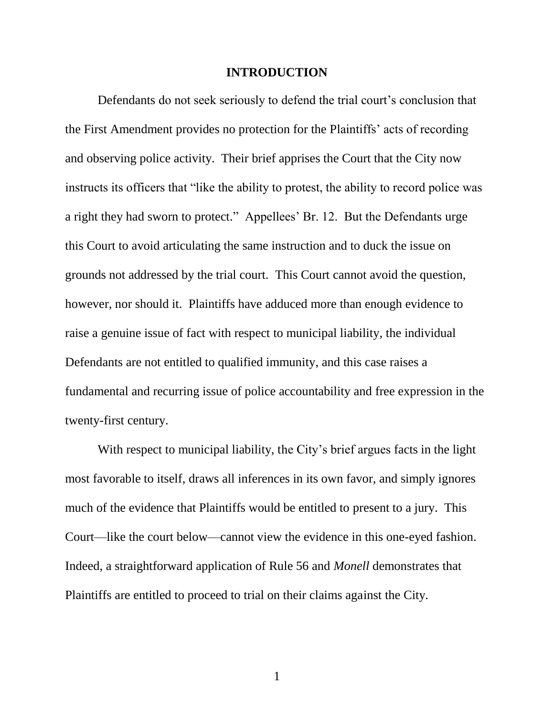#### **INTRODUCTION**

Defendants do not seek seriously to defend the trial court's conclusion that the First Amendment provides no protection for the Plaintiffs' acts of recording and observing police activity. Their brief apprises the Court that the City now instructs its officers that "like the ability to protest, the ability to record police was a right they had sworn to protect." Appellees' Br. 12. But the Defendants urge this Court to avoid articulating the same instruction and to duck the issue on grounds not addressed by the trial court. This Court cannot avoid the question, however, nor should it. Plaintiffs have adduced more than enough evidence to raise a genuine issue of fact with respect to municipal liability, the individual Defendants are not entitled to qualified immunity, and this case raises a fundamental and recurring issue of police accountability and free expression in the twenty-first century.

With respect to municipal liability, the City's brief argues facts in the light most favorable to itself, draws all inferences in its own favor, and simply ignores much of the evidence that Plaintiffs would be entitled to present to a jury. This Court—like the court below—cannot view the evidence in this one-eyed fashion. Indeed, a straightforward application of Rule 56 and *Monell* demonstrates that Plaintiffs are entitled to proceed to trial on their claims against the City.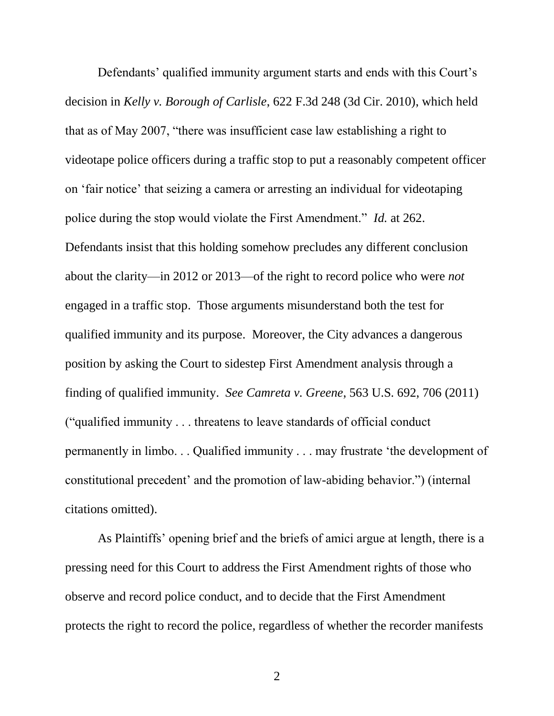Defendants' qualified immunity argument starts and ends with this Court's decision in *Kelly v. Borough of Carlisle*, 622 F.3d 248 (3d Cir. 2010), which held that as of May 2007, "there was insufficient case law establishing a right to videotape police officers during a traffic stop to put a reasonably competent officer on 'fair notice' that seizing a camera or arresting an individual for videotaping police during the stop would violate the First Amendment." *Id.* at 262. Defendants insist that this holding somehow precludes any different conclusion about the clarity—in 2012 or 2013—of the right to record police who were *not* engaged in a traffic stop. Those arguments misunderstand both the test for qualified immunity and its purpose. Moreover, the City advances a dangerous position by asking the Court to sidestep First Amendment analysis through a finding of qualified immunity. *See Camreta v. Greene*, 563 U.S. 692, 706 (2011) ("qualified immunity . . . threatens to leave standards of official conduct permanently in limbo. . . Qualified immunity . . . may frustrate 'the development of constitutional precedent' and the promotion of law-abiding behavior.") (internal citations omitted).

As Plaintiffs' opening brief and the briefs of amici argue at length, there is a pressing need for this Court to address the First Amendment rights of those who observe and record police conduct, and to decide that the First Amendment protects the right to record the police, regardless of whether the recorder manifests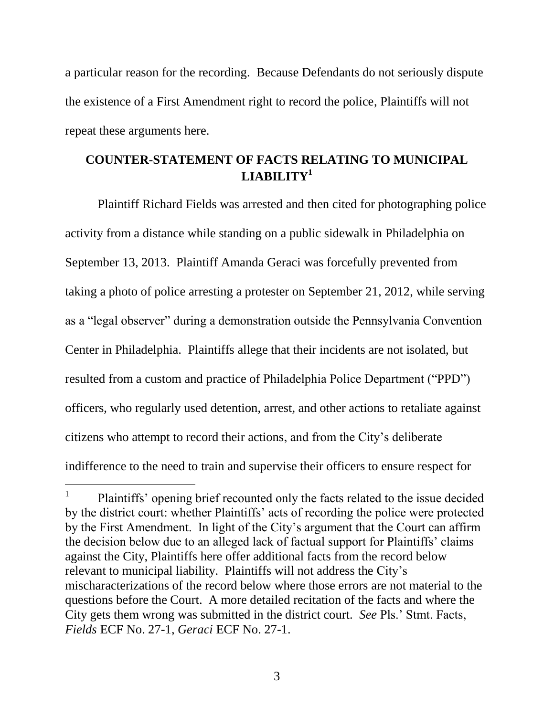a particular reason for the recording. Because Defendants do not seriously dispute the existence of a First Amendment right to record the police, Plaintiffs will not repeat these arguments here.

# **COUNTER-STATEMENT OF FACTS RELATING TO MUNICIPAL LIABILITY<sup>1</sup>**

Plaintiff Richard Fields was arrested and then cited for photographing police activity from a distance while standing on a public sidewalk in Philadelphia on September 13, 2013. Plaintiff Amanda Geraci was forcefully prevented from taking a photo of police arresting a protester on September 21, 2012, while serving as a "legal observer" during a demonstration outside the Pennsylvania Convention Center in Philadelphia. Plaintiffs allege that their incidents are not isolated, but resulted from a custom and practice of Philadelphia Police Department ("PPD") officers, who regularly used detention, arrest, and other actions to retaliate against citizens who attempt to record their actions, and from the City's deliberate indifference to the need to train and supervise their officers to ensure respect for

l

<sup>1</sup> Plaintiffs' opening brief recounted only the facts related to the issue decided by the district court: whether Plaintiffs' acts of recording the police were protected by the First Amendment. In light of the City's argument that the Court can affirm the decision below due to an alleged lack of factual support for Plaintiffs' claims against the City, Plaintiffs here offer additional facts from the record below relevant to municipal liability. Plaintiffs will not address the City's mischaracterizations of the record below where those errors are not material to the questions before the Court. A more detailed recitation of the facts and where the City gets them wrong was submitted in the district court. *See* Pls.' Stmt. Facts, *Fields* ECF No. 27-1, *Geraci* ECF No. 27-1.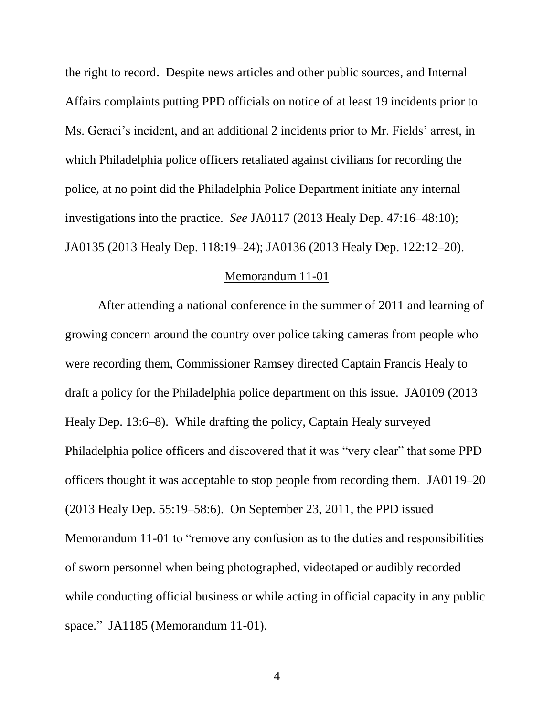the right to record. Despite news articles and other public sources, and Internal Affairs complaints putting PPD officials on notice of at least 19 incidents prior to Ms. Geraci's incident, and an additional 2 incidents prior to Mr. Fields' arrest, in which Philadelphia police officers retaliated against civilians for recording the police, at no point did the Philadelphia Police Department initiate any internal investigations into the practice. *See* JA0117 (2013 Healy Dep. 47:16–48:10); JA0135 (2013 Healy Dep. 118:19–24); JA0136 (2013 Healy Dep. 122:12–20).

#### Memorandum 11-01

After attending a national conference in the summer of 2011 and learning of growing concern around the country over police taking cameras from people who were recording them, Commissioner Ramsey directed Captain Francis Healy to draft a policy for the Philadelphia police department on this issue. JA0109 (2013 Healy Dep. 13:6–8). While drafting the policy, Captain Healy surveyed Philadelphia police officers and discovered that it was "very clear" that some PPD officers thought it was acceptable to stop people from recording them. JA0119–20 (2013 Healy Dep. 55:19–58:6). On September 23, 2011, the PPD issued Memorandum 11-01 to "remove any confusion as to the duties and responsibilities of sworn personnel when being photographed, videotaped or audibly recorded while conducting official business or while acting in official capacity in any public space." JA1185 (Memorandum 11-01).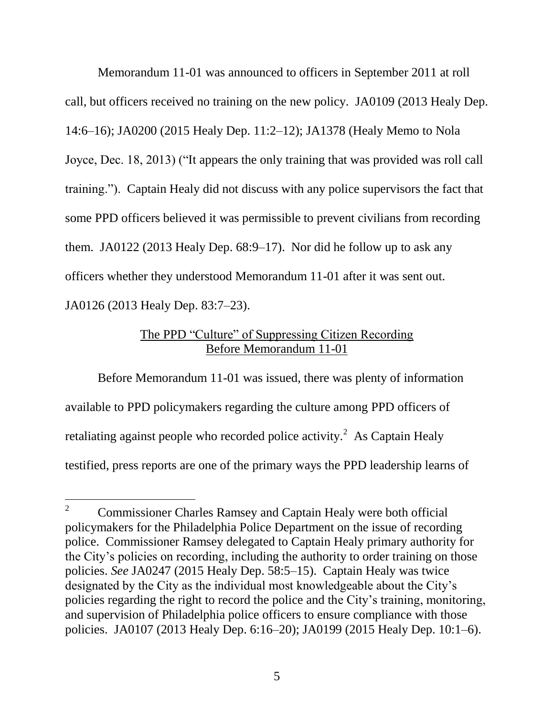Memorandum 11-01 was announced to officers in September 2011 at roll call, but officers received no training on the new policy. JA0109 (2013 Healy Dep. 14:6–16); JA0200 (2015 Healy Dep. 11:2–12); JA1378 (Healy Memo to Nola Joyce, Dec. 18, 2013) ("It appears the only training that was provided was roll call training."). Captain Healy did not discuss with any police supervisors the fact that some PPD officers believed it was permissible to prevent civilians from recording them. JA0122 (2013 Healy Dep. 68:9–17). Nor did he follow up to ask any officers whether they understood Memorandum 11-01 after it was sent out. JA0126 (2013 Healy Dep. 83:7–23).

# The PPD "Culture" of Suppressing Citizen Recording Before Memorandum 11-01

Before Memorandum 11-01 was issued, there was plenty of information available to PPD policymakers regarding the culture among PPD officers of retaliating against people who recorded police activity.<sup>2</sup> As Captain Healy testified, press reports are one of the primary ways the PPD leadership learns of

 $\overline{2}$ <sup>2</sup> Commissioner Charles Ramsey and Captain Healy were both official policymakers for the Philadelphia Police Department on the issue of recording police. Commissioner Ramsey delegated to Captain Healy primary authority for the City's policies on recording, including the authority to order training on those policies. *See* JA0247 (2015 Healy Dep. 58:5–15). Captain Healy was twice designated by the City as the individual most knowledgeable about the City's policies regarding the right to record the police and the City's training, monitoring, and supervision of Philadelphia police officers to ensure compliance with those policies. JA0107 (2013 Healy Dep. 6:16–20); JA0199 (2015 Healy Dep. 10:1–6).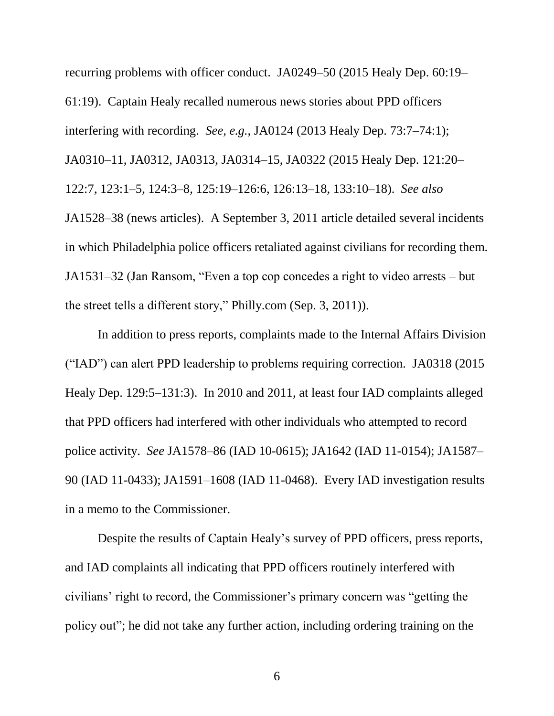recurring problems with officer conduct. JA0249–50 (2015 Healy Dep. 60:19– 61:19). Captain Healy recalled numerous news stories about PPD officers interfering with recording. *See, e.g.*, JA0124 (2013 Healy Dep. 73:7–74:1); JA0310–11, JA0312, JA0313, JA0314–15, JA0322 (2015 Healy Dep. 121:20– 122:7, 123:1–5, 124:3–8, 125:19–126:6, 126:13–18, 133:10–18). *See also* JA1528–38 (news articles). A September 3, 2011 article detailed several incidents in which Philadelphia police officers retaliated against civilians for recording them. JA1531–32 (Jan Ransom, "Even a top cop concedes a right to video arrests – but the street tells a different story," Philly.com (Sep. 3, 2011)).

In addition to press reports, complaints made to the Internal Affairs Division ("IAD") can alert PPD leadership to problems requiring correction. JA0318 (2015 Healy Dep. 129:5–131:3). In 2010 and 2011, at least four IAD complaints alleged that PPD officers had interfered with other individuals who attempted to record police activity. *See* JA1578–86 (IAD 10-0615); JA1642 (IAD 11-0154); JA1587– 90 (IAD 11-0433); JA1591–1608 (IAD 11-0468). Every IAD investigation results in a memo to the Commissioner.

Despite the results of Captain Healy's survey of PPD officers, press reports, and IAD complaints all indicating that PPD officers routinely interfered with civilians' right to record, the Commissioner's primary concern was "getting the policy out"; he did not take any further action, including ordering training on the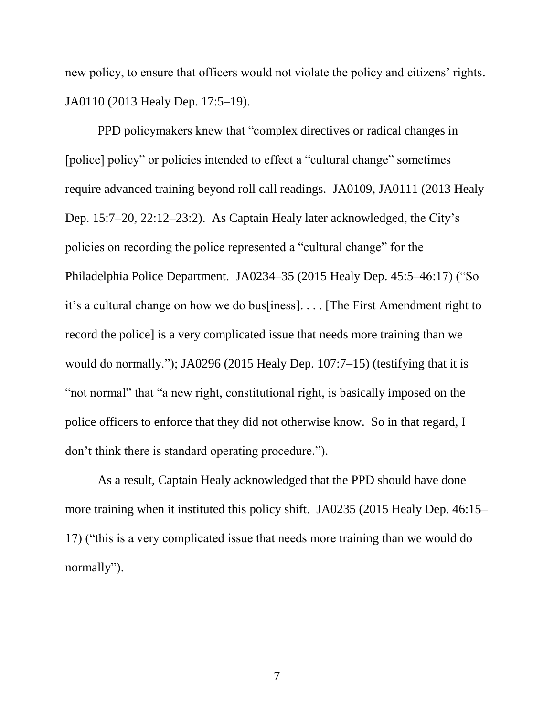new policy, to ensure that officers would not violate the policy and citizens' rights. JA0110 (2013 Healy Dep. 17:5–19).

PPD policymakers knew that "complex directives or radical changes in [police] policy" or policies intended to effect a "cultural change" sometimes require advanced training beyond roll call readings. JA0109, JA0111 (2013 Healy Dep. 15:7–20, 22:12–23:2). As Captain Healy later acknowledged, the City's policies on recording the police represented a "cultural change" for the Philadelphia Police Department. JA0234–35 (2015 Healy Dep. 45:5–46:17) ("So it's a cultural change on how we do bus[iness]. . . . [The First Amendment right to record the police] is a very complicated issue that needs more training than we would do normally."); JA0296 (2015 Healy Dep. 107:7–15) (testifying that it is "not normal" that "a new right, constitutional right, is basically imposed on the police officers to enforce that they did not otherwise know. So in that regard, I don't think there is standard operating procedure.").

As a result, Captain Healy acknowledged that the PPD should have done more training when it instituted this policy shift. JA0235 (2015 Healy Dep. 46:15– 17) ("this is a very complicated issue that needs more training than we would do normally").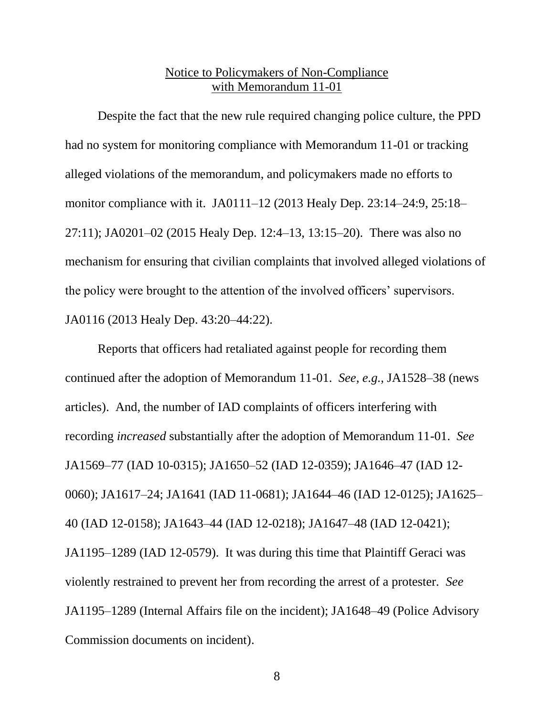# Notice to Policymakers of Non-Compliance with Memorandum 11-01

Despite the fact that the new rule required changing police culture, the PPD had no system for monitoring compliance with Memorandum 11-01 or tracking alleged violations of the memorandum, and policymakers made no efforts to monitor compliance with it. JA0111–12 (2013 Healy Dep. 23:14–24:9, 25:18– 27:11); JA0201–02 (2015 Healy Dep. 12:4–13, 13:15–20). There was also no mechanism for ensuring that civilian complaints that involved alleged violations of the policy were brought to the attention of the involved officers' supervisors. JA0116 (2013 Healy Dep. 43:20–44:22).

Reports that officers had retaliated against people for recording them continued after the adoption of Memorandum 11-01. *See, e.g.*, JA1528–38 (news articles). And, the number of IAD complaints of officers interfering with recording *increased* substantially after the adoption of Memorandum 11-01. *See* JA1569–77 (IAD 10-0315); JA1650–52 (IAD 12-0359); JA1646–47 (IAD 12- 0060); JA1617–24; JA1641 (IAD 11-0681); JA1644–46 (IAD 12-0125); JA1625– 40 (IAD 12-0158); JA1643–44 (IAD 12-0218); JA1647–48 (IAD 12-0421); JA1195–1289 (IAD 12-0579). It was during this time that Plaintiff Geraci was violently restrained to prevent her from recording the arrest of a protester. *See* JA1195–1289 (Internal Affairs file on the incident); JA1648–49 (Police Advisory Commission documents on incident).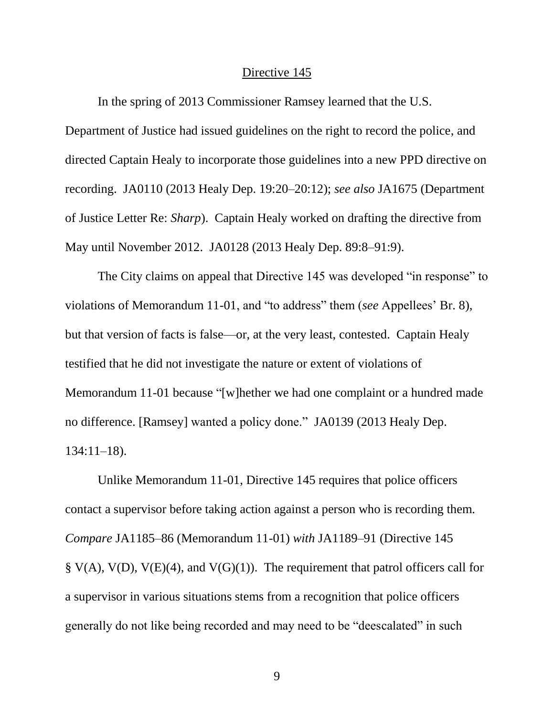#### Directive 145

In the spring of 2013 Commissioner Ramsey learned that the U.S.

Department of Justice had issued guidelines on the right to record the police, and directed Captain Healy to incorporate those guidelines into a new PPD directive on recording. JA0110 (2013 Healy Dep. 19:20–20:12); *see also* JA1675 (Department of Justice Letter Re: *Sharp*). Captain Healy worked on drafting the directive from May until November 2012. JA0128 (2013 Healy Dep. 89:8–91:9).

The City claims on appeal that Directive 145 was developed "in response" to violations of Memorandum 11-01, and "to address" them (*see* Appellees' Br. 8), but that version of facts is false—or, at the very least, contested. Captain Healy testified that he did not investigate the nature or extent of violations of Memorandum 11-01 because "[w]hether we had one complaint or a hundred made no difference. [Ramsey] wanted a policy done." JA0139 (2013 Healy Dep. 134:11–18).

Unlike Memorandum 11-01, Directive 145 requires that police officers contact a supervisor before taking action against a person who is recording them. *Compare* JA1185–86 (Memorandum 11-01) *with* JA1189–91 (Directive 145  $\S V(A)$ ,  $V(D)$ ,  $V(E)(4)$ , and  $V(G)(1)$ ). The requirement that patrol officers call for a supervisor in various situations stems from a recognition that police officers generally do not like being recorded and may need to be "deescalated" in such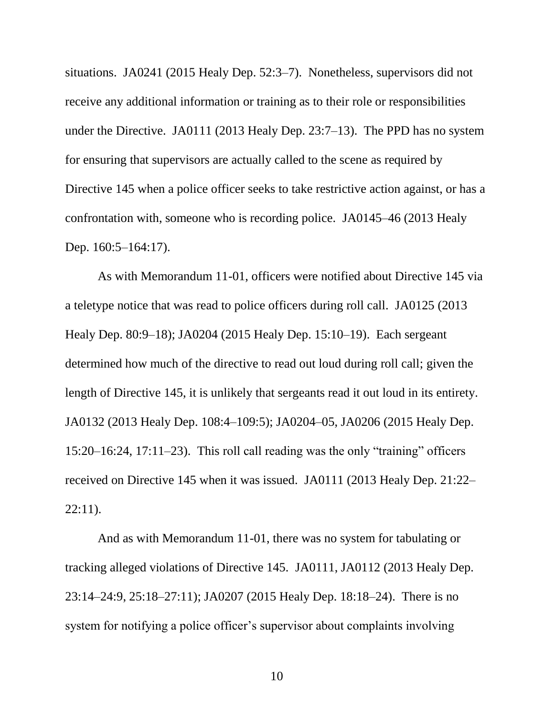situations. JA0241 (2015 Healy Dep. 52:3–7). Nonetheless, supervisors did not receive any additional information or training as to their role or responsibilities under the Directive. JA0111 (2013 Healy Dep. 23:7–13). The PPD has no system for ensuring that supervisors are actually called to the scene as required by Directive 145 when a police officer seeks to take restrictive action against, or has a confrontation with, someone who is recording police. JA0145–46 (2013 Healy Dep. 160:5–164:17).

As with Memorandum 11-01, officers were notified about Directive 145 via a teletype notice that was read to police officers during roll call. JA0125 (2013 Healy Dep. 80:9–18); JA0204 (2015 Healy Dep. 15:10–19). Each sergeant determined how much of the directive to read out loud during roll call; given the length of Directive 145, it is unlikely that sergeants read it out loud in its entirety. JA0132 (2013 Healy Dep. 108:4–109:5); JA0204–05, JA0206 (2015 Healy Dep. 15:20–16:24, 17:11–23). This roll call reading was the only "training" officers received on Directive 145 when it was issued. JA0111 (2013 Healy Dep. 21:22– 22:11).

And as with Memorandum 11-01, there was no system for tabulating or tracking alleged violations of Directive 145. JA0111, JA0112 (2013 Healy Dep. 23:14–24:9, 25:18–27:11); JA0207 (2015 Healy Dep. 18:18–24). There is no system for notifying a police officer's supervisor about complaints involving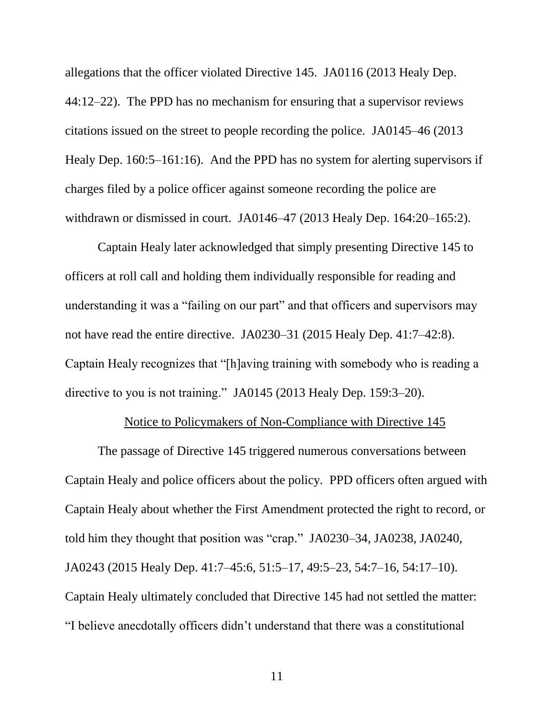allegations that the officer violated Directive 145. JA0116 (2013 Healy Dep. 44:12–22). The PPD has no mechanism for ensuring that a supervisor reviews citations issued on the street to people recording the police. JA0145–46 (2013 Healy Dep. 160:5–161:16). And the PPD has no system for alerting supervisors if charges filed by a police officer against someone recording the police are withdrawn or dismissed in court. JA0146–47 (2013 Healy Dep. 164:20–165:2).

Captain Healy later acknowledged that simply presenting Directive 145 to officers at roll call and holding them individually responsible for reading and understanding it was a "failing on our part" and that officers and supervisors may not have read the entire directive. JA0230–31 (2015 Healy Dep. 41:7–42:8). Captain Healy recognizes that "[h]aving training with somebody who is reading a directive to you is not training." JA0145 (2013 Healy Dep. 159:3–20).

### Notice to Policymakers of Non-Compliance with Directive 145

The passage of Directive 145 triggered numerous conversations between Captain Healy and police officers about the policy. PPD officers often argued with Captain Healy about whether the First Amendment protected the right to record, or told him they thought that position was "crap." JA0230–34, JA0238, JA0240, JA0243 (2015 Healy Dep. 41:7–45:6, 51:5–17, 49:5–23, 54:7–16, 54:17–10). Captain Healy ultimately concluded that Directive 145 had not settled the matter: "I believe anecdotally officers didn't understand that there was a constitutional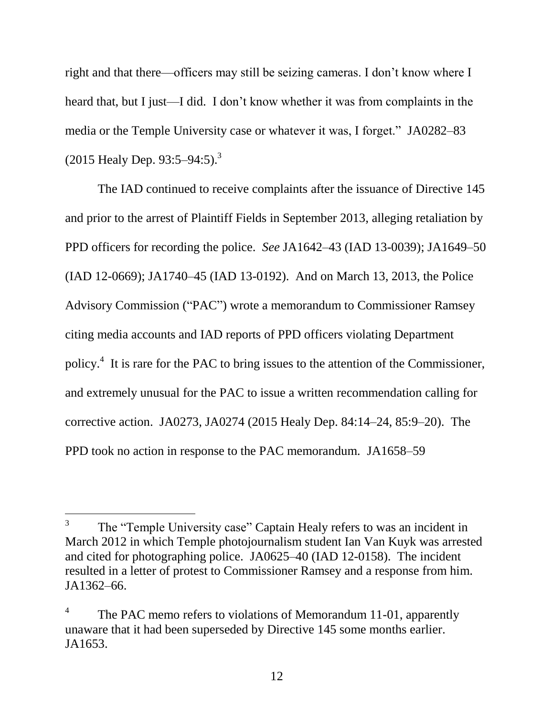right and that there—officers may still be seizing cameras. I don't know where I heard that, but I just—I did. I don't know whether it was from complaints in the media or the Temple University case or whatever it was, I forget." JA0282–83  $(2015 \text{ Heavy Dep. } 93:5-94:5).$ <sup>3</sup>

The IAD continued to receive complaints after the issuance of Directive 145 and prior to the arrest of Plaintiff Fields in September 2013, alleging retaliation by PPD officers for recording the police. *See* JA1642–43 (IAD 13-0039); JA1649–50 (IAD 12-0669); JA1740–45 (IAD 13-0192). And on March 13, 2013, the Police Advisory Commission ("PAC") wrote a memorandum to Commissioner Ramsey citing media accounts and IAD reports of PPD officers violating Department policy.<sup>4</sup> It is rare for the PAC to bring issues to the attention of the Commissioner, and extremely unusual for the PAC to issue a written recommendation calling for corrective action. JA0273, JA0274 (2015 Healy Dep. 84:14–24, 85:9–20). The PPD took no action in response to the PAC memorandum. JA1658–59

 $\overline{a}$ 

<sup>3</sup> The "Temple University case" Captain Healy refers to was an incident in March 2012 in which Temple photojournalism student Ian Van Kuyk was arrested and cited for photographing police. JA0625–40 (IAD 12-0158). The incident resulted in a letter of protest to Commissioner Ramsey and a response from him. JA1362–66.

<sup>4</sup> The PAC memo refers to violations of Memorandum 11-01, apparently unaware that it had been superseded by Directive 145 some months earlier. JA1653.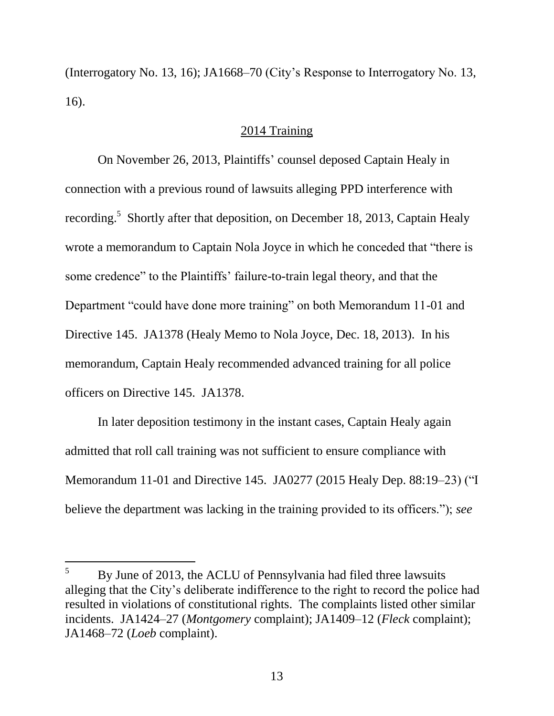(Interrogatory No. 13, 16); JA1668–70 (City's Response to Interrogatory No. 13, 16).

# 2014 Training

On November 26, 2013, Plaintiffs' counsel deposed Captain Healy in connection with a previous round of lawsuits alleging PPD interference with recording.<sup>5</sup> Shortly after that deposition, on December 18, 2013, Captain Healy wrote a memorandum to Captain Nola Joyce in which he conceded that "there is some credence" to the Plaintiffs' failure-to-train legal theory, and that the Department "could have done more training" on both Memorandum 11-01 and Directive 145. JA1378 (Healy Memo to Nola Joyce, Dec. 18, 2013). In his memorandum, Captain Healy recommended advanced training for all police officers on Directive 145. JA1378.

In later deposition testimony in the instant cases, Captain Healy again admitted that roll call training was not sufficient to ensure compliance with Memorandum 11-01 and Directive 145. JA0277 (2015 Healy Dep. 88:19–23) ("I believe the department was lacking in the training provided to its officers."); *see* 

l

 $5$  By June of 2013, the ACLU of Pennsylvania had filed three lawsuits alleging that the City's deliberate indifference to the right to record the police had resulted in violations of constitutional rights. The complaints listed other similar incidents. JA1424–27 (*Montgomery* complaint); JA1409–12 (*Fleck* complaint); JA1468–72 (*Loeb* complaint).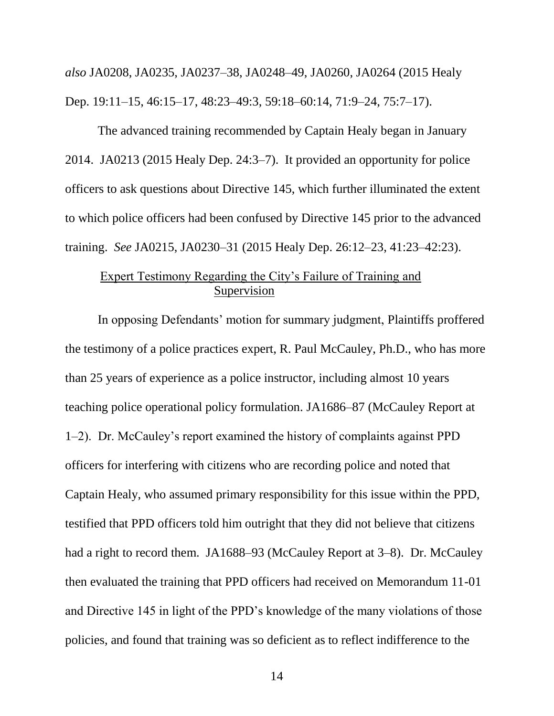*also* JA0208, JA0235, JA0237–38, JA0248–49, JA0260, JA0264 (2015 Healy Dep. 19:11–15, 46:15–17, 48:23–49:3, 59:18–60:14, 71:9–24, 75:7–17).

The advanced training recommended by Captain Healy began in January 2014. JA0213 (2015 Healy Dep. 24:3–7). It provided an opportunity for police officers to ask questions about Directive 145, which further illuminated the extent to which police officers had been confused by Directive 145 prior to the advanced training. *See* JA0215, JA0230–31 (2015 Healy Dep. 26:12–23, 41:23–42:23).

# Expert Testimony Regarding the City's Failure of Training and Supervision

In opposing Defendants' motion for summary judgment, Plaintiffs proffered the testimony of a police practices expert, R. Paul McCauley, Ph.D., who has more than 25 years of experience as a police instructor, including almost 10 years teaching police operational policy formulation. JA1686–87 (McCauley Report at 1–2). Dr. McCauley's report examined the history of complaints against PPD officers for interfering with citizens who are recording police and noted that Captain Healy, who assumed primary responsibility for this issue within the PPD, testified that PPD officers told him outright that they did not believe that citizens had a right to record them. JA1688–93 (McCauley Report at 3–8). Dr. McCauley then evaluated the training that PPD officers had received on Memorandum 11-01 and Directive 145 in light of the PPD's knowledge of the many violations of those policies, and found that training was so deficient as to reflect indifference to the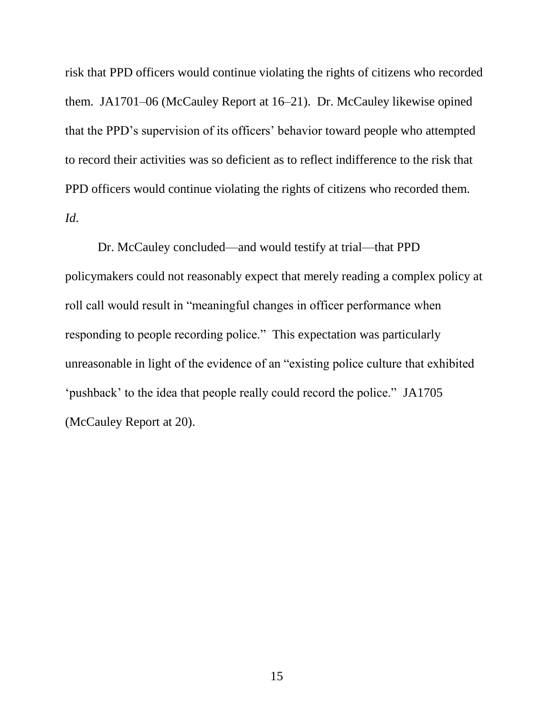risk that PPD officers would continue violating the rights of citizens who recorded them. JA1701-06 (McCauley Report at 16-21). Dr. McCauley likewise opined that the PPD's supervision of its officers' behavior toward people who attempted to record their activities was so deficient as to reflect indifference to the risk that PPD officers would continue violating the rights of citizens who recorded them. *Id*.

Dr. McCauley concluded—and would testify at trial—that PPD policymakers could not reasonably expect that merely reading a complex policy at roll call would result in "meaningful changes in officer performance when responding to people recording police." This expectation was particularly unreasonable in light of the evidence of an "existing police culture that exhibited 'pushback' to the idea that people really could record the police." JA1705 (McCauley Report at 20).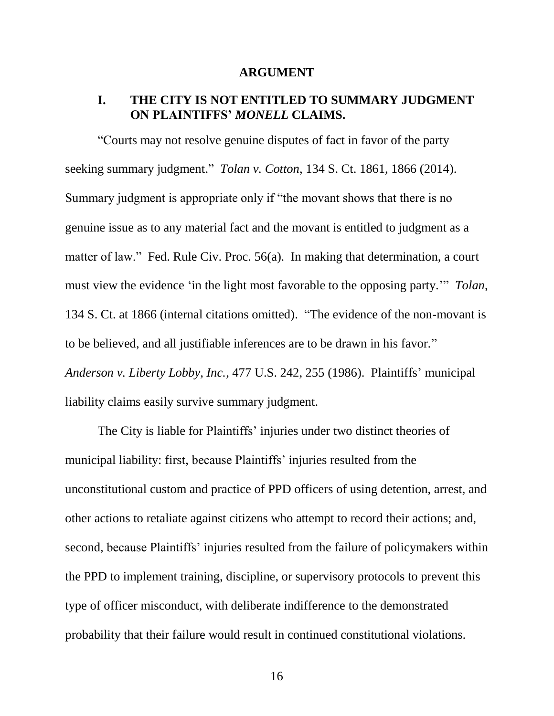#### **ARGUMENT**

# **I. THE CITY IS NOT ENTITLED TO SUMMARY JUDGMENT ON PLAINTIFFS'** *MONELL* **CLAIMS.**

"Courts may not resolve genuine disputes of fact in favor of the party seeking summary judgment." *Tolan v. Cotton*, 134 S. Ct. 1861, 1866 (2014). Summary judgment is appropriate only if "the movant shows that there is no genuine issue as to any material fact and the movant is entitled to judgment as a matter of law." Fed. Rule Civ. Proc. 56(a). In making that determination, a court must view the evidence 'in the light most favorable to the opposing party.'" *Tolan*, 134 S. Ct. at 1866 (internal citations omitted). "The evidence of the non-movant is to be believed, and all justifiable inferences are to be drawn in his favor." *Anderson v. Liberty Lobby, Inc.,* 477 U.S. 242, 255 (1986). Plaintiffs' municipal liability claims easily survive summary judgment.

The City is liable for Plaintiffs' injuries under two distinct theories of municipal liability: first, because Plaintiffs' injuries resulted from the unconstitutional custom and practice of PPD officers of using detention, arrest, and other actions to retaliate against citizens who attempt to record their actions; and, second, because Plaintiffs' injuries resulted from the failure of policymakers within the PPD to implement training, discipline, or supervisory protocols to prevent this type of officer misconduct, with deliberate indifference to the demonstrated probability that their failure would result in continued constitutional violations.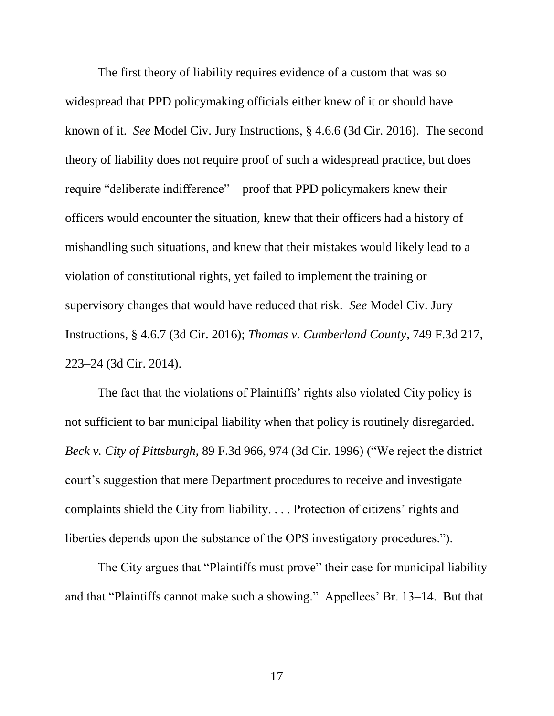The first theory of liability requires evidence of a custom that was so widespread that PPD policymaking officials either knew of it or should have known of it. *See* Model Civ. Jury Instructions, § 4.6.6 (3d Cir. 2016). The second theory of liability does not require proof of such a widespread practice, but does require "deliberate indifference"—proof that PPD policymakers knew their officers would encounter the situation, knew that their officers had a history of mishandling such situations, and knew that their mistakes would likely lead to a violation of constitutional rights, yet failed to implement the training or supervisory changes that would have reduced that risk. *See* Model Civ. Jury Instructions, § 4.6.7 (3d Cir. 2016); *Thomas v. Cumberland County*, 749 F.3d 217, 223–24 (3d Cir. 2014).

The fact that the violations of Plaintiffs' rights also violated City policy is not sufficient to bar municipal liability when that policy is routinely disregarded. *Beck v. City of Pittsburgh*, 89 F.3d 966, 974 (3d Cir. 1996) ("We reject the district court's suggestion that mere Department procedures to receive and investigate complaints shield the City from liability. . . . Protection of citizens' rights and liberties depends upon the substance of the OPS investigatory procedures.").

The City argues that "Plaintiffs must prove" their case for municipal liability and that "Plaintiffs cannot make such a showing." Appellees' Br. 13–14. But that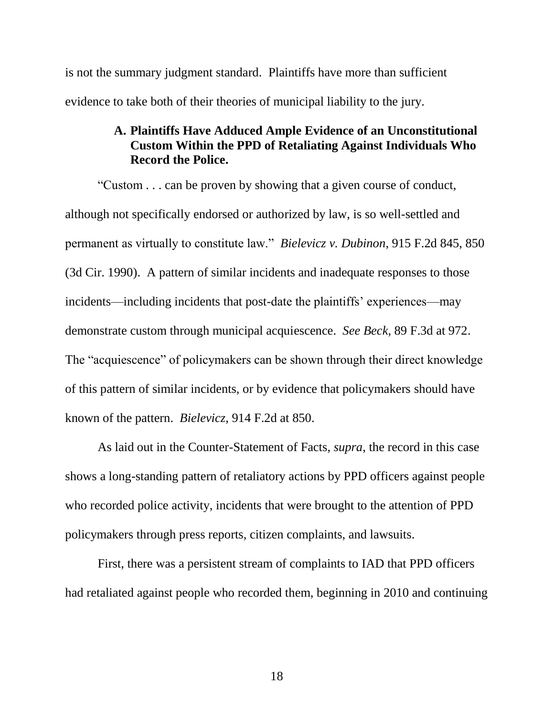is not the summary judgment standard. Plaintiffs have more than sufficient evidence to take both of their theories of municipal liability to the jury.

# **A. Plaintiffs Have Adduced Ample Evidence of an Unconstitutional Custom Within the PPD of Retaliating Against Individuals Who Record the Police.**

"Custom . . . can be proven by showing that a given course of conduct, although not specifically endorsed or authorized by law, is so well-settled and permanent as virtually to constitute law." *Bielevicz v. Dubinon*, 915 F.2d 845, 850 (3d Cir. 1990). A pattern of similar incidents and inadequate responses to those incidents—including incidents that post-date the plaintiffs' experiences—may demonstrate custom through municipal acquiescence. *See Beck*, 89 F.3d at 972. The "acquiescence" of policymakers can be shown through their direct knowledge of this pattern of similar incidents, or by evidence that policymakers should have known of the pattern. *Bielevicz*, 914 F.2d at 850.

As laid out in the Counter-Statement of Facts, *supra*, the record in this case shows a long-standing pattern of retaliatory actions by PPD officers against people who recorded police activity, incidents that were brought to the attention of PPD policymakers through press reports, citizen complaints, and lawsuits.

First, there was a persistent stream of complaints to IAD that PPD officers had retaliated against people who recorded them, beginning in 2010 and continuing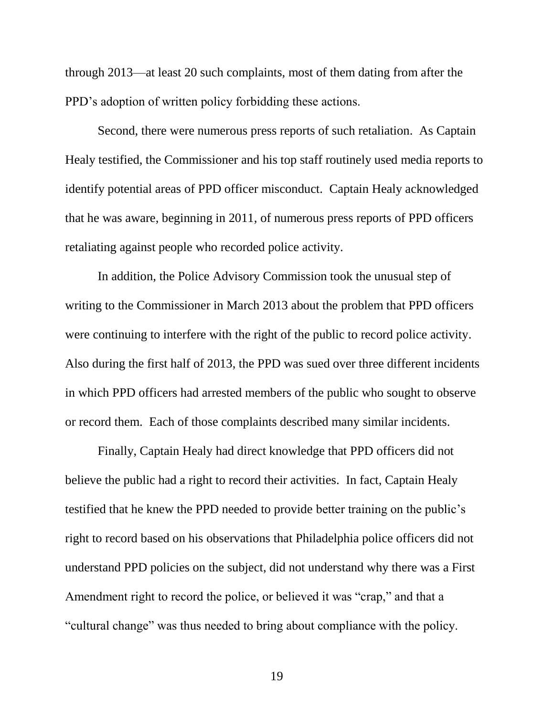through 2013—at least 20 such complaints, most of them dating from after the PPD's adoption of written policy forbidding these actions.

Second, there were numerous press reports of such retaliation. As Captain Healy testified, the Commissioner and his top staff routinely used media reports to identify potential areas of PPD officer misconduct. Captain Healy acknowledged that he was aware, beginning in 2011, of numerous press reports of PPD officers retaliating against people who recorded police activity.

In addition, the Police Advisory Commission took the unusual step of writing to the Commissioner in March 2013 about the problem that PPD officers were continuing to interfere with the right of the public to record police activity. Also during the first half of 2013, the PPD was sued over three different incidents in which PPD officers had arrested members of the public who sought to observe or record them. Each of those complaints described many similar incidents.

Finally, Captain Healy had direct knowledge that PPD officers did not believe the public had a right to record their activities. In fact, Captain Healy testified that he knew the PPD needed to provide better training on the public's right to record based on his observations that Philadelphia police officers did not understand PPD policies on the subject, did not understand why there was a First Amendment right to record the police, or believed it was "crap," and that a "cultural change" was thus needed to bring about compliance with the policy.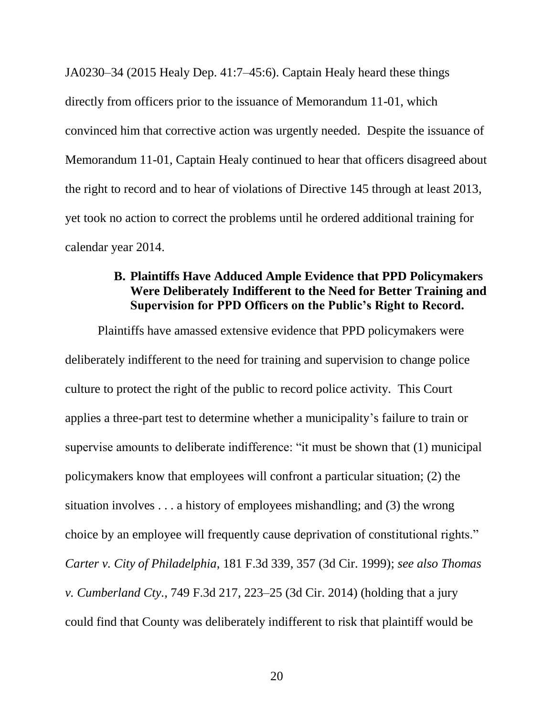JA0230–34 (2015 Healy Dep. 41:7–45:6). Captain Healy heard these things directly from officers prior to the issuance of Memorandum 11-01, which convinced him that corrective action was urgently needed. Despite the issuance of Memorandum 11-01, Captain Healy continued to hear that officers disagreed about the right to record and to hear of violations of Directive 145 through at least 2013, yet took no action to correct the problems until he ordered additional training for calendar year 2014.

# **B. Plaintiffs Have Adduced Ample Evidence that PPD Policymakers Were Deliberately Indifferent to the Need for Better Training and Supervision for PPD Officers on the Public's Right to Record.**

Plaintiffs have amassed extensive evidence that PPD policymakers were deliberately indifferent to the need for training and supervision to change police culture to protect the right of the public to record police activity. This Court applies a three-part test to determine whether a municipality's failure to train or supervise amounts to deliberate indifference: "it must be shown that (1) municipal policymakers know that employees will confront a particular situation; (2) the situation involves . . . a history of employees mishandling; and (3) the wrong choice by an employee will frequently cause deprivation of constitutional rights." *Carter v. City of Philadelphia*, 181 F.3d 339, 357 (3d Cir. 1999); *see also Thomas v. Cumberland Cty.*, 749 F.3d 217, 223–25 (3d Cir. 2014) (holding that a jury could find that County was deliberately indifferent to risk that plaintiff would be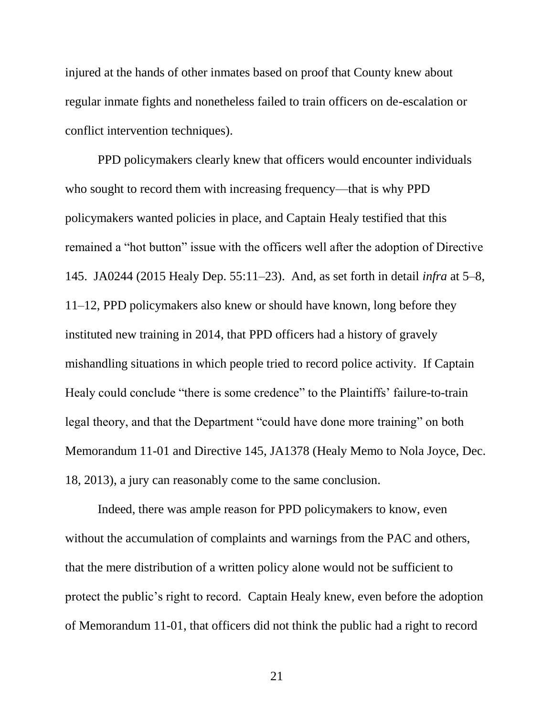injured at the hands of other inmates based on proof that County knew about regular inmate fights and nonetheless failed to train officers on de-escalation or conflict intervention techniques).

PPD policymakers clearly knew that officers would encounter individuals who sought to record them with increasing frequency—that is why PPD policymakers wanted policies in place, and Captain Healy testified that this remained a "hot button" issue with the officers well after the adoption of Directive 145. JA0244 (2015 Healy Dep. 55:11–23). And, as set forth in detail *infra* at 5–8, 11–12, PPD policymakers also knew or should have known, long before they instituted new training in 2014, that PPD officers had a history of gravely mishandling situations in which people tried to record police activity. If Captain Healy could conclude "there is some credence" to the Plaintiffs' failure-to-train legal theory, and that the Department "could have done more training" on both Memorandum 11-01 and Directive 145, JA1378 (Healy Memo to Nola Joyce, Dec. 18, 2013), a jury can reasonably come to the same conclusion.

Indeed, there was ample reason for PPD policymakers to know, even without the accumulation of complaints and warnings from the PAC and others, that the mere distribution of a written policy alone would not be sufficient to protect the public's right to record. Captain Healy knew, even before the adoption of Memorandum 11-01, that officers did not think the public had a right to record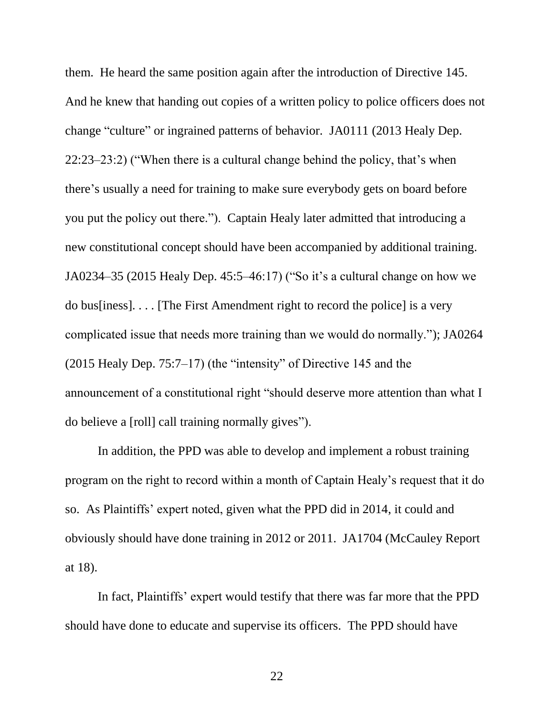them. He heard the same position again after the introduction of Directive 145. And he knew that handing out copies of a written policy to police officers does not change "culture" or ingrained patterns of behavior. JA0111 (2013 Healy Dep. 22:23–23:2) ("When there is a cultural change behind the policy, that's when there's usually a need for training to make sure everybody gets on board before you put the policy out there."). Captain Healy later admitted that introducing a new constitutional concept should have been accompanied by additional training. JA0234–35 (2015 Healy Dep. 45:5–46:17) ("So it's a cultural change on how we do bus[iness]. . . . [The First Amendment right to record the police] is a very complicated issue that needs more training than we would do normally."); JA0264 (2015 Healy Dep. 75:7–17) (the "intensity" of Directive 145 and the announcement of a constitutional right "should deserve more attention than what I do believe a [roll] call training normally gives").

In addition, the PPD was able to develop and implement a robust training program on the right to record within a month of Captain Healy's request that it do so. As Plaintiffs' expert noted, given what the PPD did in 2014, it could and obviously should have done training in 2012 or 2011. JA1704 (McCauley Report at 18).

In fact, Plaintiffs' expert would testify that there was far more that the PPD should have done to educate and supervise its officers. The PPD should have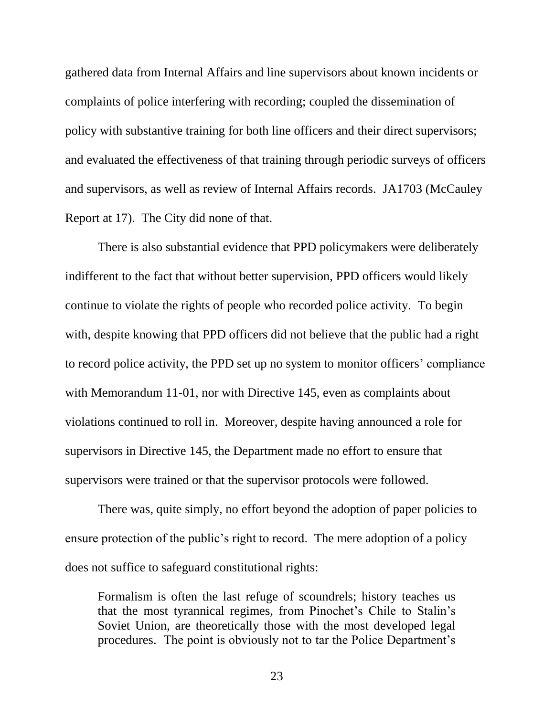gathered data from Internal Affairs and line supervisors about known incidents or complaints of police interfering with recording; coupled the dissemination of policy with substantive training for both line officers and their direct supervisors; and evaluated the effectiveness of that training through periodic surveys of officers and supervisors, as well as review of Internal Affairs records. JA1703 (McCauley Report at 17). The City did none of that.

There is also substantial evidence that PPD policymakers were deliberately indifferent to the fact that without better supervision, PPD officers would likely continue to violate the rights of people who recorded police activity. To begin with, despite knowing that PPD officers did not believe that the public had a right to record police activity, the PPD set up no system to monitor officers' compliance with Memorandum 11-01, nor with Directive 145, even as complaints about violations continued to roll in. Moreover, despite having announced a role for supervisors in Directive 145, the Department made no effort to ensure that supervisors were trained or that the supervisor protocols were followed.

There was, quite simply, no effort beyond the adoption of paper policies to ensure protection of the public's right to record. The mere adoption of a policy does not suffice to safeguard constitutional rights:

Formalism is often the last refuge of scoundrels; history teaches us that the most tyrannical regimes, from Pinochet's Chile to Stalin's Soviet Union, are theoretically those with the most developed legal procedures. The point is obviously not to tar the Police Department's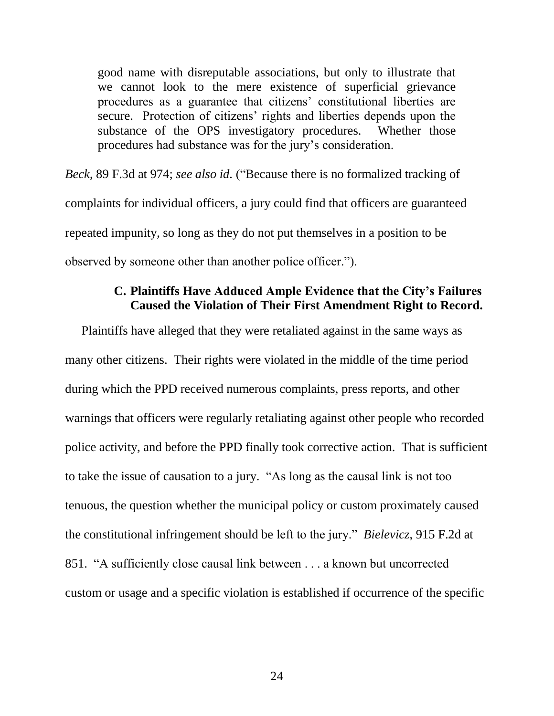good name with disreputable associations, but only to illustrate that we cannot look to the mere existence of superficial grievance procedures as a guarantee that citizens' constitutional liberties are secure. Protection of citizens' rights and liberties depends upon the substance of the OPS investigatory procedures. Whether those procedures had substance was for the jury's consideration.

*Beck*, 89 F.3d at 974; *see also id.* ("Because there is no formalized tracking of complaints for individual officers, a jury could find that officers are guaranteed repeated impunity, so long as they do not put themselves in a position to be observed by someone other than another police officer.").

# **C. Plaintiffs Have Adduced Ample Evidence that the City's Failures Caused the Violation of Their First Amendment Right to Record.**

Plaintiffs have alleged that they were retaliated against in the same ways as many other citizens. Their rights were violated in the middle of the time period during which the PPD received numerous complaints, press reports, and other warnings that officers were regularly retaliating against other people who recorded police activity, and before the PPD finally took corrective action. That is sufficient to take the issue of causation to a jury. "As long as the causal link is not too tenuous, the question whether the municipal policy or custom proximately caused the constitutional infringement should be left to the jury." *Bielevicz*, 915 F.2d at 851. "A sufficiently close causal link between . . . a known but uncorrected custom or usage and a specific violation is established if occurrence of the specific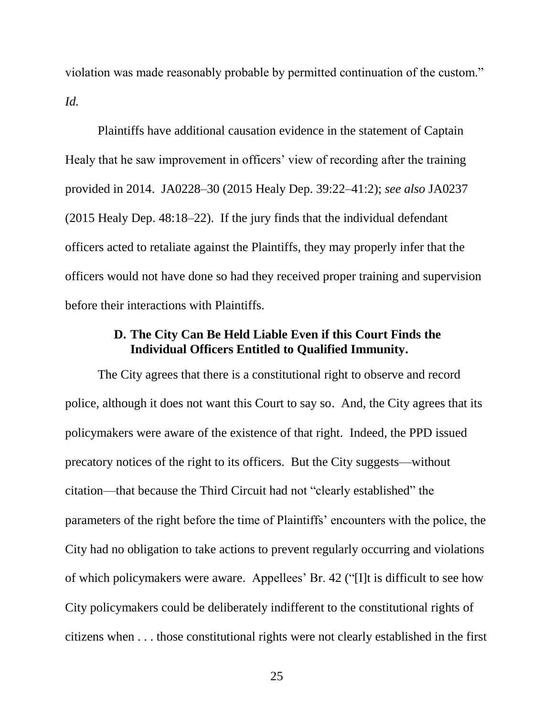violation was made reasonably probable by permitted continuation of the custom." *Id.*

Plaintiffs have additional causation evidence in the statement of Captain Healy that he saw improvement in officers' view of recording after the training provided in 2014. JA0228–30 (2015 Healy Dep. 39:22–41:2); *see also* JA0237 (2015 Healy Dep. 48:18–22). If the jury finds that the individual defendant officers acted to retaliate against the Plaintiffs, they may properly infer that the officers would not have done so had they received proper training and supervision before their interactions with Plaintiffs.

# **D. The City Can Be Held Liable Even if this Court Finds the Individual Officers Entitled to Qualified Immunity.**

The City agrees that there is a constitutional right to observe and record police, although it does not want this Court to say so. And, the City agrees that its policymakers were aware of the existence of that right. Indeed, the PPD issued precatory notices of the right to its officers. But the City suggests—without citation—that because the Third Circuit had not "clearly established" the parameters of the right before the time of Plaintiffs' encounters with the police, the City had no obligation to take actions to prevent regularly occurring and violations of which policymakers were aware. Appellees' Br. 42 ("[I]t is difficult to see how City policymakers could be deliberately indifferent to the constitutional rights of citizens when . . . those constitutional rights were not clearly established in the first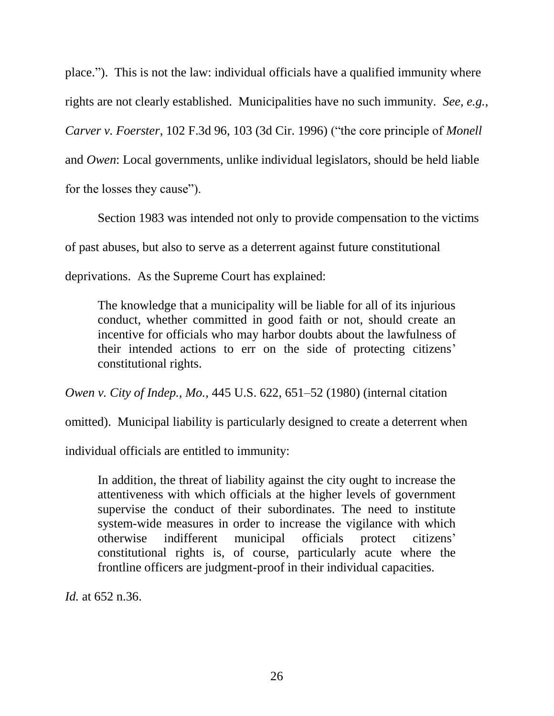place."). This is not the law: individual officials have a qualified immunity where rights are not clearly established. Municipalities have no such immunity. *See, e.g.*, *Carver v. Foerster*, 102 F.3d 96, 103 (3d Cir. 1996) ("the core principle of *Monell* and *Owen*: Local governments, unlike individual legislators, should be held liable for the losses they cause").

Section 1983 was intended not only to provide compensation to the victims of past abuses, but also to serve as a deterrent against future constitutional deprivations. As the Supreme Court has explained:

The knowledge that a municipality will be liable for all of its injurious conduct, whether committed in good faith or not, should create an incentive for officials who may harbor doubts about the lawfulness of their intended actions to err on the side of protecting citizens' constitutional rights.

*Owen v. City of Indep., Mo.*, 445 U.S. 622, 651–52 (1980) (internal citation

omitted). Municipal liability is particularly designed to create a deterrent when

individual officials are entitled to immunity:

In addition, the threat of liability against the city ought to increase the attentiveness with which officials at the higher levels of government supervise the conduct of their subordinates. The need to institute system-wide measures in order to increase the vigilance with which otherwise indifferent municipal officials protect citizens' constitutional rights is, of course, particularly acute where the frontline officers are judgment-proof in their individual capacities.

*Id.* at 652 n.36.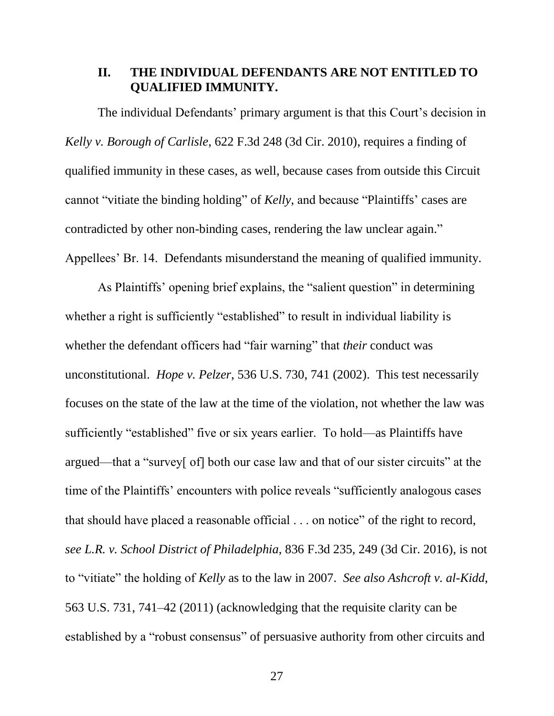## **II. THE INDIVIDUAL DEFENDANTS ARE NOT ENTITLED TO QUALIFIED IMMUNITY.**

The individual Defendants' primary argument is that this Court's decision in *Kelly v. Borough of Carlisle*, 622 F.3d 248 (3d Cir. 2010), requires a finding of qualified immunity in these cases, as well, because cases from outside this Circuit cannot "vitiate the binding holding" of *Kelly*, and because "Plaintiffs' cases are contradicted by other non-binding cases, rendering the law unclear again." Appellees' Br. 14. Defendants misunderstand the meaning of qualified immunity.

As Plaintiffs' opening brief explains, the "salient question" in determining whether a right is sufficiently "established" to result in individual liability is whether the defendant officers had "fair warning" that *their* conduct was unconstitutional. *Hope v. Pelzer*, 536 U.S. 730, 741 (2002). This test necessarily focuses on the state of the law at the time of the violation, not whether the law was sufficiently "established" five or six years earlier. To hold—as Plaintiffs have argued—that a "survey[ of] both our case law and that of our sister circuits" at the time of the Plaintiffs' encounters with police reveals "sufficiently analogous cases that should have placed a reasonable official . . . on notice" of the right to record, *see L.R. v. School District of Philadelphia*, 836 F.3d 235, 249 (3d Cir. 2016), is not to "vitiate" the holding of *Kelly* as to the law in 2007. *See also Ashcroft v. al-Kidd*, 563 U.S. 731, 741–42 (2011) (acknowledging that the requisite clarity can be established by a "robust consensus" of persuasive authority from other circuits and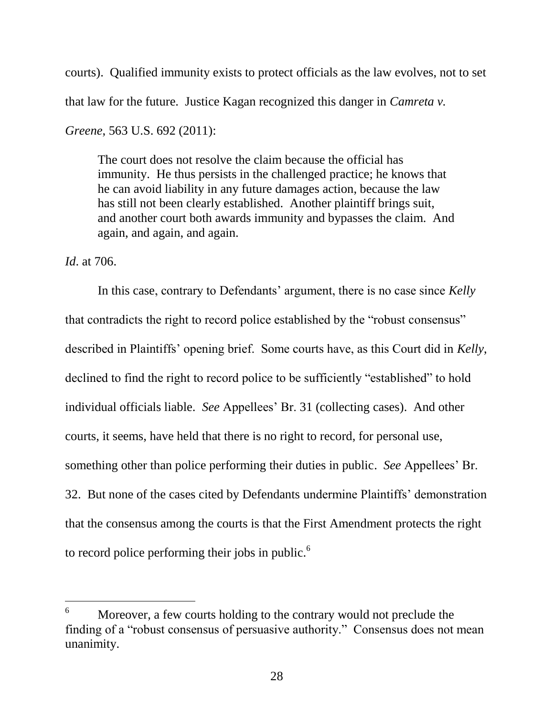courts). Qualified immunity exists to protect officials as the law evolves, not to set that law for the future. Justice Kagan recognized this danger in *Camreta v.* 

*Greene*, 563 U.S. 692 (2011):

The court does not resolve the claim because the official has immunity. He thus persists in the challenged practice; he knows that he can avoid liability in any future damages action, because the law has still not been clearly established. Another plaintiff brings suit, and another court both awards immunity and bypasses the claim. And again, and again, and again.

*Id*. at 706.

 $\overline{a}$ 

In this case, contrary to Defendants' argument, there is no case since *Kelly* that contradicts the right to record police established by the "robust consensus" described in Plaintiffs' opening brief. Some courts have, as this Court did in *Kelly*, declined to find the right to record police to be sufficiently "established" to hold individual officials liable. *See* Appellees' Br. 31 (collecting cases). And other courts, it seems, have held that there is no right to record, for personal use, something other than police performing their duties in public. *See* Appellees' Br. 32. But none of the cases cited by Defendants undermine Plaintiffs' demonstration that the consensus among the courts is that the First Amendment protects the right to record police performing their jobs in public.<sup> $6$ </sup>

 $6$  Moreover, a few courts holding to the contrary would not preclude the finding of a "robust consensus of persuasive authority." Consensus does not mean unanimity.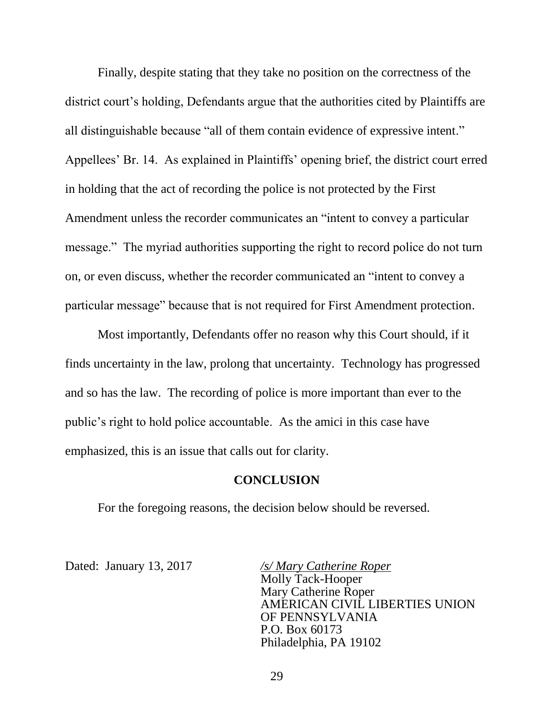Finally, despite stating that they take no position on the correctness of the district court's holding, Defendants argue that the authorities cited by Plaintiffs are all distinguishable because "all of them contain evidence of expressive intent." Appellees' Br. 14. As explained in Plaintiffs' opening brief, the district court erred in holding that the act of recording the police is not protected by the First Amendment unless the recorder communicates an "intent to convey a particular message." The myriad authorities supporting the right to record police do not turn on, or even discuss, whether the recorder communicated an "intent to convey a particular message" because that is not required for First Amendment protection.

Most importantly, Defendants offer no reason why this Court should, if it finds uncertainty in the law, prolong that uncertainty. Technology has progressed and so has the law. The recording of police is more important than ever to the public's right to hold police accountable. As the amici in this case have emphasized, this is an issue that calls out for clarity.

#### **CONCLUSION**

For the foregoing reasons, the decision below should be reversed.

Dated: January 13, 2017 */s/ Mary Catherine Roper* Molly Tack-Hooper Mary Catherine Roper AMERICAN CIVIL LIBERTIES UNION OF PENNSYLVANIA P.O. Box 60173 Philadelphia, PA 19102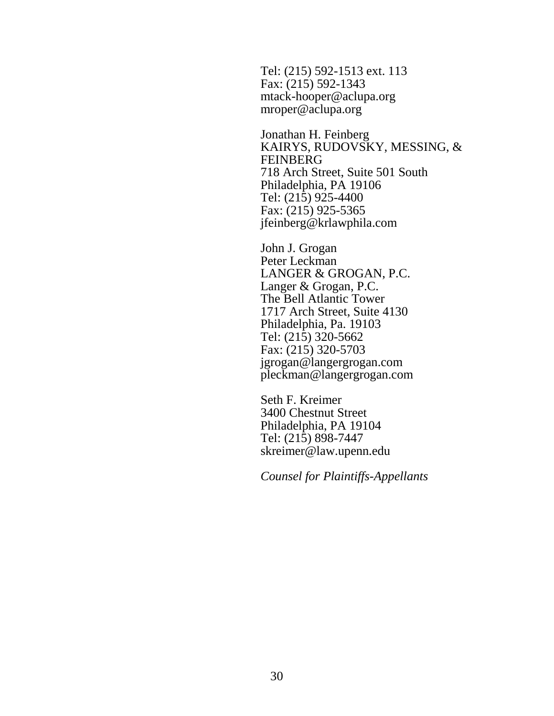Tel: (215) 592-1513 ext. 113 Fax: (215) 592-1343 mtack-hooper@aclupa.org mroper@aclupa.org

Jonathan H. Feinberg KAIRYS, RUDOVSKY, MESSING, & FEINBERG 718 Arch Street, Suite 501 South Philadelphia, PA 19106 Tel: (215) 925-4400 Fax: (215) 925-5365 jfeinberg@krlawphila.com

John J. Grogan Peter Leckman LANGER & GROGAN, P.C. Langer & Grogan, P.C. The Bell Atlantic Tower 1717 Arch Street, Suite 4130 Philadelphia, Pa. 19103 Tel: (215) 320-5662 Fax: (215) 320-5703 jgrogan@langergrogan.com pleckman@langergrogan.com

Seth F. Kreimer 3400 Chestnut Street Philadelphia, PA 19104 Tel: (215) 898-7447 skreimer@law.upenn.edu

*Counsel for Plaintiffs-Appellants*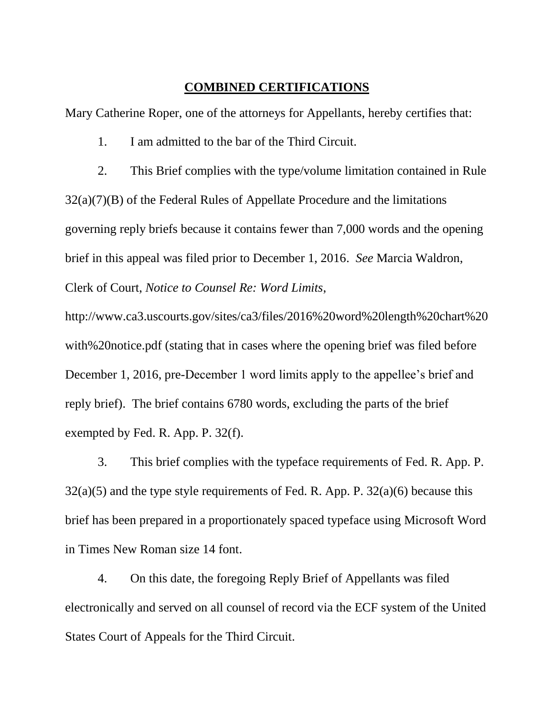### **COMBINED CERTIFICATIONS**

Mary Catherine Roper, one of the attorneys for Appellants, hereby certifies that:

1. I am admitted to the bar of the Third Circuit.

2. This Brief complies with the type/volume limitation contained in Rule  $32(a)(7)(B)$  of the Federal Rules of Appellate Procedure and the limitations governing reply briefs because it contains fewer than 7,000 words and the opening brief in this appeal was filed prior to December 1, 2016. *See* Marcia Waldron, Clerk of Court, *Notice to Counsel Re: Word Limits*,

http://www.ca3.uscourts.gov/sites/ca3/files/2016%20word%20length%20chart%20 with%20notice.pdf (stating that in cases where the opening brief was filed before December 1, 2016, pre-December 1 word limits apply to the appellee's brief and reply brief). The brief contains 6780 words, excluding the parts of the brief exempted by Fed. R. App. P. 32(f).

3. This brief complies with the typeface requirements of Fed. R. App. P.  $32(a)(5)$  and the type style requirements of Fed. R. App. P.  $32(a)(6)$  because this brief has been prepared in a proportionately spaced typeface using Microsoft Word in Times New Roman size 14 font.

4. On this date, the foregoing Reply Brief of Appellants was filed electronically and served on all counsel of record via the ECF system of the United States Court of Appeals for the Third Circuit.